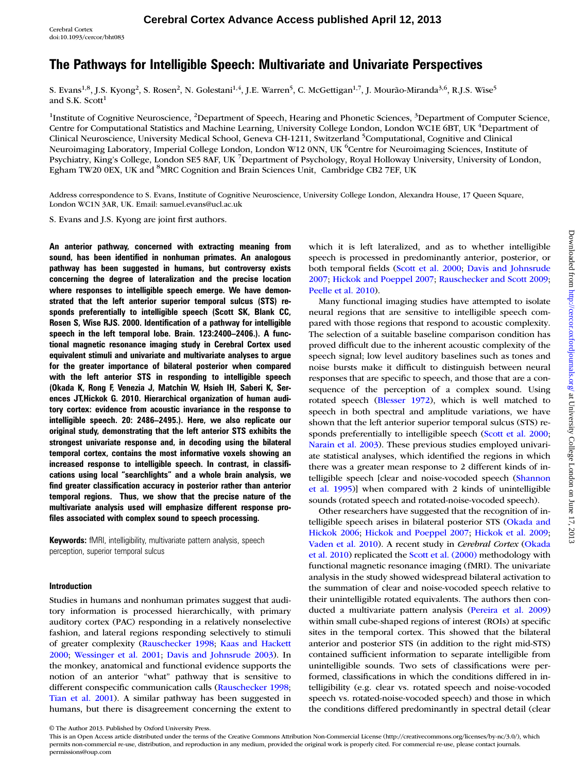## The Pathways for Intelligible Speech: Multivariate and Univariate Perspectives

S. Evans<sup>1,8</sup>, J.S. Kyong<sup>2</sup>, S. Rosen<sup>2</sup>, N. Golestani<sup>1,4</sup>, J.E. Warren<sup>5</sup>, C. McGettigan<sup>1,7</sup>, J. Mourão-Miranda<sup>3,6</sup>, R.J.S. Wise<sup>5</sup> and S.K. Scott<sup>1</sup>

<sup>1</sup>Institute of Cognitive Neuroscience, <sup>2</sup>Department of Speech, Hearing and Phonetic Sciences, <sup>3</sup>Department of Computer Science, Centre for Computational Statistics and Machine Learning, University College London, London WC1E 6BT, UK <sup>4</sup>Department of Clinical Neuroscience, University Medical School, Geneva CH-1211, Switzerland <sup>5</sup>Computational, Cognitive and Clinical Neuroimaging Laboratory, Imperial College London, London W12 0NN, UK <sup>6</sup>Centre for Neuroimaging Sciences, Institute of Psychiatry, King's College, London SE5 8AF, UK <sup>7</sup>Department of Psychology, Royal Holloway University, University of London, Egham TW20 0EX, UK and <sup>8</sup>MRC Cognition and Brain Sciences Unit, Cambridge CB2 7EF, UK

Address correspondence to S. Evans, Institute of Cognitive Neuroscience, University College London, Alexandra House, 17 Queen Square, London WC1N 3AR, UK. Email: samuel.evans@ucl.ac.uk

S. Evans and J.S. Kyong are joint first authors.

An anterior pathway, concerned with extracting meaning from sound, has been identified in nonhuman primates. An analogous pathway has been suggested in humans, but controversy exists concerning the degree of lateralization and the precise location where responses to intelligible speech emerge. We have demonstrated that the left anterior superior temporal sulcus (STS) responds preferentially to intelligible speech (Scott SK, Blank CC, Rosen S, Wise RJS. 2000. Identification of a pathway for intelligible speech in the left temporal lobe. Brain. 123:2400–2406.). A functional magnetic resonance imaging study in Cerebral Cortex used equivalent stimuli and univariate and multivariate analyses to argue for the greater importance of bilateral posterior when compared with the left anterior STS in responding to intelligible speech (Okada K, Rong F, Venezia J, Matchin W, Hsieh IH, Saberi K, Serences JT,Hickok G. 2010. Hierarchical organization of human auditory cortex: evidence from acoustic invariance in the response to intelligible speech. 20: 2486–2495.). Here, we also replicate our original study, demonstrating that the left anterior STS exhibits the strongest univariate response and, in decoding using the bilateral temporal cortex, contains the most informative voxels showing an increased response to intelligible speech. In contrast, in classifications using local "searchlights" and a whole brain analysis, we find greater classification accuracy in posterior rather than anterior temporal regions. Thus, we show that the precise nature of the multivariate analysis used will emphasize different response profiles associated with complex sound to speech processing.

Keywords: fMRI, intelligibility, multivariate pattern analysis, speech perception, superior temporal sulcus

### Introduction

Studies in humans and nonhuman primates suggest that auditory information is processed hierarchically, with primary auditory cortex (PAC) responding in a relatively nonselective fashion, and lateral regions responding selectively to stimuli of greater complexity ([Rauschecker 1998;](#page-11-0) [Kaas and Hackett](#page-10-0) [2000](#page-10-0); [Wessinger et al. 2001;](#page-11-0) [Davis and Johnsrude 2003](#page-10-0)). In the monkey, anatomical and functional evidence supports the notion of an anterior "what" pathway that is sensitive to different conspecific communication calls ([Rauschecker 1998;](#page-11-0) [Tian et al. 2001](#page-11-0)). A similar pathway has been suggested in humans, but there is disagreement concerning the extent to

which it is left lateralized, and as to whether intelligible speech is processed in predominantly anterior, posterior, or both temporal fields ([Scott et al. 2000;](#page-11-0) [Davis and Johnsrude](#page-10-0) [2007](#page-10-0); [Hickok and Poeppel 2007;](#page-10-0) [Rauschecker and Scott 2009;](#page-11-0) [Peelle et al. 2010\)](#page-11-0).

Many functional imaging studies have attempted to isolate neural regions that are sensitive to intelligible speech compared with those regions that respond to acoustic complexity. The selection of a suitable baseline comparison condition has proved difficult due to the inherent acoustic complexity of the speech signal; low level auditory baselines such as tones and noise bursts make it difficult to distinguish between neural responses that are specific to speech, and those that are a consequence of the perception of a complex sound. Using rotated speech ([Blesser 1972\)](#page-10-0), which is well matched to speech in both spectral and amplitude variations, we have shown that the left anterior superior temporal sulcus (STS) responds preferentially to intelligible speech ([Scott et al. 2000;](#page-11-0) [Narain et al. 2003](#page-11-0)). These previous studies employed univariate statistical analyses, which identified the regions in which there was a greater mean response to 2 different kinds of intelligible speech [clear and noise-vocoded speech [\(Shannon](#page-11-0) [et al. 1995](#page-11-0))] when compared with 2 kinds of unintelligible sounds (rotated speech and rotated-noise-vocoded speech).

Other researchers have suggested that the recognition of intelligible speech arises in bilateral posterior STS ([Okada and](#page-11-0) [Hickok 2006](#page-11-0); [Hickok and Poeppel 2007](#page-10-0); [Hickok et al. 2009;](#page-10-0) [Vaden et al. 2010](#page-11-0)). A recent study in Cerebral Cortex ([Okada](#page-11-0) [et al. 2010](#page-11-0)) replicated the [Scott et al. \(2000\)](#page-11-0) methodology with functional magnetic resonance imaging (fMRI). The univariate analysis in the study showed widespread bilateral activation to the summation of clear and noise-vocoded speech relative to their unintelligible rotated equivalents. The authors then conducted a multivariate pattern analysis [\(Pereira et al. 2009\)](#page-11-0) within small cube-shaped regions of interest (ROIs) at specific sites in the temporal cortex. This showed that the bilateral anterior and posterior STS (in addition to the right mid-STS) contained sufficient information to separate intelligible from unintelligible sounds. Two sets of classifications were performed, classifications in which the conditions differed in intelligibility (e.g. clear vs. rotated speech and noise-vocoded speech vs. rotated-noise-vocoded speech) and those in which the conditions differed predominantly in spectral detail (clear

<sup>©</sup> The Author 2013. Published by Oxford University Press.

This is an Open Access article distributed under the terms of the Creative Commons Attribution Non-Commercial License (http://creativecommons.org/licenses/by-nc/3.0/), which permits non-commercial re-use, distribution, and reproduction in any medium, provided the original work is properly cited. For commercial re-use, please contact journals. permissions@oup.com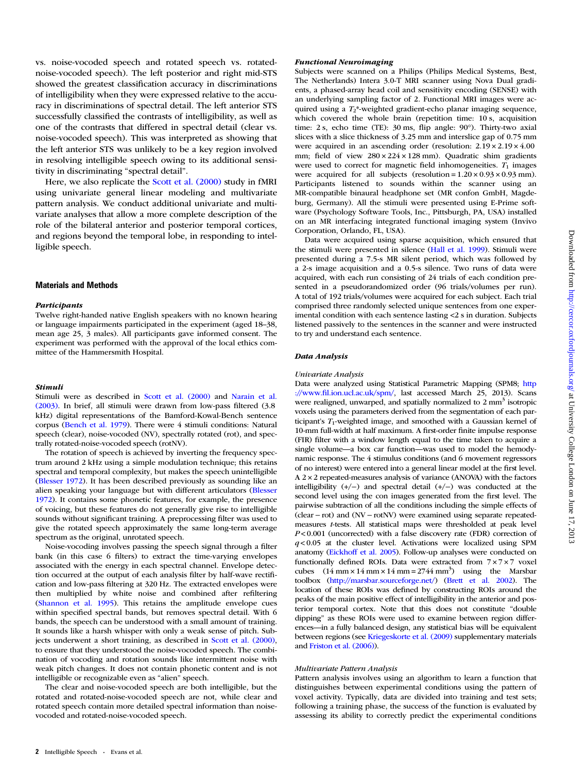vs. noise-vocoded speech and rotated speech vs. rotatednoise-vocoded speech). The left posterior and right mid-STS showed the greatest classification accuracy in discriminations of intelligibility when they were expressed relative to the accuracy in discriminations of spectral detail. The left anterior STS successfully classified the contrasts of intelligibility, as well as one of the contrasts that differed in spectral detail (clear vs. noise-vocoded speech). This was interpreted as showing that the left anterior STS was unlikely to be a key region involved in resolving intelligible speech owing to its additional sensitivity in discriminating "spectral detail".

Here, we also replicate the [Scott et al. \(2000\)](#page-11-0) study in fMRI using univariate general linear modeling and multivariate pattern analysis. We conduct additional univariate and multivariate analyses that allow a more complete description of the role of the bilateral anterior and posterior temporal cortices, and regions beyond the temporal lobe, in responding to intelligible speech.

#### Materials and Methods

#### **Participants**

Twelve right-handed native English speakers with no known hearing or language impairments participated in the experiment (aged 18–38, mean age 25, 3 males). All participants gave informed consent. The experiment was performed with the approval of the local ethics committee of the Hammersmith Hospital.

#### **Stimuli**

Stimuli Stimuli were as described in [Scott et al. \(2000\)](#page-11-0) and [Narain et al.](#page-11-0) [\(2003\).](#page-11-0) In brief, all stimuli were drawn from low-pass filtered (3.8 kHz) digital representations of the Bamford-Kowal-Bench sentence corpus ([Bench et al. 1979\)](#page-10-0). There were 4 stimuli conditions: Natural speech (clear), noise-vocoded (NV), spectrally rotated (rot), and spectrally rotated-noise-vocoded speech (rotNV).

The rotation of speech is achieved by inverting the frequency spectrum around 2 kHz using a simple modulation technique; this retains spectral and temporal complexity, but makes the speech unintelligible ([Blesser 1972\)](#page-10-0). It has been described previously as sounding like an alien speaking your language but with different articulators ([Blesser](#page-10-0) [1972\)](#page-10-0). It contains some phonetic features, for example, the presence of voicing, but these features do not generally give rise to intelligible sounds without significant training. A preprocessing filter was used to give the rotated speech approximately the same long-term average spectrum as the original, unrotated speech.

Noise-vocoding involves passing the speech signal through a filter bank (in this case 6 filters) to extract the time-varying envelopes associated with the energy in each spectral channel. Envelope detection occurred at the output of each analysis filter by half-wave rectification and low-pass filtering at 320 Hz. The extracted envelopes were then multiplied by white noise and combined after refiltering ([Shannon et al. 1995](#page-11-0)). This retains the amplitude envelope cues within specified spectral bands, but removes spectral detail. With 6 bands, the speech can be understood with a small amount of training. It sounds like a harsh whisper with only a weak sense of pitch. Subjects underwent a short training, as described in [Scott et al. \(2000\),](#page-11-0) to ensure that they understood the noise-vocoded speech. The combination of vocoding and rotation sounds like intermittent noise with weak pitch changes. It does not contain phonetic content and is not intelligible or recognizable even as "alien" speech.

The clear and noise-vocoded speech are both intelligible, but the rotated and rotated-noise-vocoded speech are not, while clear and rotated speech contain more detailed spectral information than noisevocoded and rotated-noise-vocoded speech.

Subjects were scanned on a Philips (Philips Medical Systems, Best, The Netherlands) Intera 3.0-T MRI scanner using Nova Dual gradients, a phased-array head coil and sensitivity encoding (SENSE) with an underlying sampling factor of 2. Functional MRI images were acquired using a  $T_2^*$ -weighted gradient-echo planar imaging sequence, which covered the whole brain (repetition time: 10 s, acquisition time: 2 s, echo time (TE): 30 ms, flip angle: 90°). Thirty-two axial slices with a slice thickness of 3.25 mm and interslice gap of 0.75 mm were acquired in an ascending order (resolution:  $2.19 \times 2.19 \times 4.00$ mm; field of view  $280 \times 224 \times 128$  mm). Quadratic shim gradients were used to correct for magnetic field inhomogeneities.  $T_1$  images were acquired for all subjects (resolution =  $1.20 \times 0.93 \times 0.93$  mm). Participants listened to sounds within the scanner using an MR-compatible binaural headphone set (MR confon GmbH, Magdeburg, Germany). All the stimuli were presented using E-Prime software (Psychology Software Tools, Inc., Pittsburgh, PA, USA) installed on an MR interfacing integrated functional imaging system (Invivo Corporation, Orlando, FL, USA).

Data were acquired using sparse acquisition, which ensured that the stimuli were presented in silence [\(Hall et al. 1999](#page-10-0)). Stimuli were presented during a 7.5-s MR silent period, which was followed by a 2-s image acquisition and a 0.5-s silence. Two runs of data were acquired, with each run consisting of 24 trials of each condition presented in a pseudorandomized order (96 trials/volumes per run). A total of 192 trials/volumes were acquired for each subject. Each trial comprised three randomly selected unique sentences from one experimental condition with each sentence lasting <2 s in duration. Subjects listened passively to the sentences in the scanner and were instructed to try and understand each sentence.

#### Data Analysis

#### Univariate Analysis

Data were analyzed using Statistical Parametric Mapping (SPM8; [http](http://www.fil.ion.ucl.ac.uk/spm/) [://www.](http://www.fil.ion.ucl.ac.uk/spm/)fi[l.ion.ucl.ac.uk/spm/](http://www.fil.ion.ucl.ac.uk/spm/), last accessed March 25, 2013). Scans were realigned, unwarped, and spatially normalized to  $2 \text{ mm}^3$  isotropic voxels using the parameters derived from the segmentation of each participant's  $T_1$ -weighted image, and smoothed with a Gaussian kernel of 10-mm full-width at half maximum. A first-order finite impulse response (FIR) filter with a window length equal to the time taken to acquire a single volume—a box car function—was used to model the hemodynamic response. The 4 stimulus conditions (and 6 movement regressors of no interest) were entered into a general linear model at the first level. A 2 × 2 repeated-measures analysis of variance (ANOVA) with the factors intelligibility (+/−) and spectral detail (+/−) was conducted at the second level using the con images generated from the first level. The pairwise subtraction of all the conditions including the simple effects of (clear − rot) and (NV − rotNV) were examined using separate repeatedmeasures t-tests. All statistical maps were thresholded at peak level  $P < 0.001$  (uncorrected) with a false discovery rate (FDR) correction of  $q$ <0.05 at the cluster level. Activations were localized using SPM anatomy ([Eickhoff et al. 2005](#page-10-0)). Follow-up analyses were conducted on functionally defined ROIs. Data were extracted from 7 × 7 × 7 voxel cubes  $(14 \text{ mm} \times 14 \text{ mm} \times 14 \text{ mm} = 2744 \text{ mm}^3)$  using the Marsbar toolbox [\(http://marsbar.sourceforge.net/\)](http://marsbar.sourceforge.net/) ([Brett et al. 2002](#page-10-0)). The location of these ROIs was defined by constructing ROIs around the peaks of the main positive effect of intelligibility in the anterior and posterior temporal cortex. Note that this does not constitute "double dipping" as these ROIs were used to examine between region differences—in a fully balanced design, any statistical bias will be equivalent between regions (see [Kriegeskorte et al. \(2009\)](#page-10-0) supplementary materials and [Friston et al. \(2006\)](#page-10-0)).

#### Multivariate Pattern Analysis

Pattern analysis involves using an algorithm to learn a function that distinguishes between experimental conditions using the pattern of voxel activity. Typically, data are divided into training and test sets; following a training phase, the success of the function is evaluated by assessing its ability to correctly predict the experimental conditions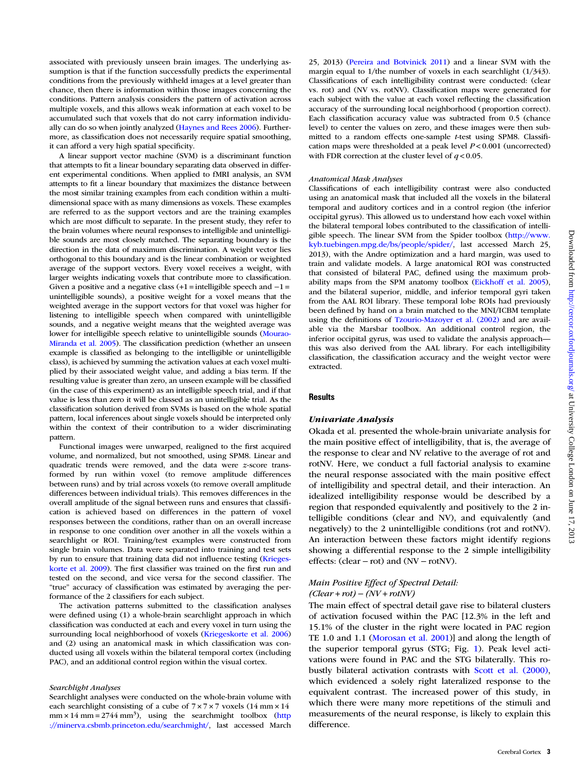$, 2013$ 

associated with previously unseen brain images. The underlying assumption is that if the function successfully predicts the experimental conditions from the previously withheld images at a level greater than chance, then there is information within those images concerning the conditions. Pattern analysis considers the pattern of activation across multiple voxels, and this allows weak information at each voxel to be accumulated such that voxels that do not carry information individually can do so when jointly analyzed [\(Haynes and Rees 2006\)](#page-10-0). Furthermore, as classification does not necessarily require spatial smoothing, it can afford a very high spatial specificity.

A linear support vector machine (SVM) is a discriminant function that attempts to fit a linear boundary separating data observed in different experimental conditions. When applied to fMRI analysis, an SVM attempts to fit a linear boundary that maximizes the distance between the most similar training examples from each condition within a multidimensional space with as many dimensions as voxels. These examples are referred to as the support vectors and are the training examples which are most difficult to separate. In the present study, they refer to the brain volumes where neural responses to intelligible and unintelligible sounds are most closely matched. The separating boundary is the direction in the data of maximum discrimination. A weight vector lies orthogonal to this boundary and is the linear combination or weighted average of the support vectors. Every voxel receives a weight, with larger weights indicating voxels that contribute more to classification. Given a positive and a negative class  $(+1 =$  intelligible speech and  $-1 =$ unintelligible sounds), a positive weight for a voxel means that the weighted average in the support vectors for that voxel was higher for listening to intelligible speech when compared with unintelligible sounds, and a negative weight means that the weighted average was lower for intelligible speech relative to unintelligible sounds [\(Mourao-](#page-10-0)[Miranda et al. 2005](#page-10-0)). The classification prediction (whether an unseen example is classified as belonging to the intelligible or unintelligible class), is achieved by summing the activation values at each voxel multiplied by their associated weight value, and adding a bias term. If the resulting value is greater than zero, an unseen example will be classified (in the case of this experiment) as an intelligible speech trial, and if that value is less than zero it will be classed as an unintelligible trial. As the classification solution derived from SVMs is based on the whole spatial pattern, local inferences about single voxels should be interpreted only within the context of their contribution to a wider discriminating pattern.

Functional images were unwarped, realigned to the first acquired volume, and normalized, but not smoothed, using SPM8. Linear and quadratic trends were removed, and the data were z-score transformed by run within voxel (to remove amplitude differences between runs) and by trial across voxels (to remove overall amplitude differences between individual trials). This removes differences in the overall amplitude of the signal between runs and ensures that classification is achieved based on differences in the pattern of voxel responses between the conditions, rather than on an overall increase in response to one condition over another in all the voxels within a searchlight or ROI. Training/test examples were constructed from single brain volumes. Data were separated into training and test sets by run to ensure that training data did not influence testing [\(Krieges](#page-10-0)[korte et al. 2009](#page-10-0)). The first classifier was trained on the first run and tested on the second, and vice versa for the second classifier. The "true" accuracy of classification was estimated by averaging the performance of the 2 classifiers for each subject.

The activation patterns submitted to the classification analyses were defined using (1) a whole-brain searchlight approach in which classification was conducted at each and every voxel in turn using the surrounding local neighborhood of voxels ([Kriegeskorte et al. 2006](#page-10-0)) and (2) using an anatomical mask in which classification was conducted using all voxels within the bilateral temporal cortex (including PAC), and an additional control region within the visual cortex.

#### Searchlight Analyses

Searchlight analyses were conducted on the whole-brain volume with each searchlight consisting of a cube of  $7 \times 7 \times 7$  voxels (14 mm  $\times$  14  $mm \times 14 mm = 2744 mm^3$ , using the search might toolbox ([http](http://minerva.csbmb.princeton.edu/searchmight/) [://minerva.csbmb.princeton.edu/searchmight/,](http://minerva.csbmb.princeton.edu/searchmight/) last accessed March

25, 2013) ([Pereira and Botvinick 2011](#page-11-0)) and a linear SVM with the margin equal to 1/the number of voxels in each searchlight (1/343). Classifications of each intelligibility contrast were conducted: (clear vs. rot) and (NV vs. rotNV). Classification maps were generated for each subject with the value at each voxel reflecting the classification accuracy of the surrounding local neighborhood (proportion correct). Each classification accuracy value was subtracted from 0.5 (chance level) to center the values on zero, and these images were then submitted to a random effects one-sample t-test using SPM8. Classification maps were thresholded at a peak level  $P < 0.001$  (uncorrected) with FDR correction at the cluster level of  $q < 0.05$ .

#### Anatomical Mask Analyses

Classifications of each intelligibility contrast were also conducted using an anatomical mask that included all the voxels in the bilateral temporal and auditory cortices and in a control region (the inferior occipital gyrus). This allowed us to understand how each voxel within the bilateral temporal lobes contributed to the classification of intelligible speech. The linear SVM from the Spider toolbox [\(http://www.](http://www.kyb.tuebingen.mpg.de/bs/people/spider/) [kyb.tuebingen.mpg.de/bs/people/spider/](http://www.kyb.tuebingen.mpg.de/bs/people/spider/), last accessed March 25, 2013), with the Andre optimization and a hard margin, was used to train and validate models. A large anatomical ROI was constructed that consisted of bilateral PAC, defined using the maximum probability maps from the SPM anatomy toolbox [\(Eickhoff et al. 2005\)](#page-10-0), and the bilateral superior, middle, and inferior temporal gyri taken from the AAL ROI library. These temporal lobe ROIs had previously been defined by hand on a brain matched to the MNI/ICBM template using the definitions of [Tzourio-Mazoyer et al. \(2002\)](#page-11-0) and are available via the Marsbar toolbox. An additional control region, the inferior occipital gyrus, was used to validate the analysis approach this was also derived from the AAL library. For each intelligibility classification, the classification accuracy and the weight vector were extracted.

#### **Results**

Univariate Analysis Okada et al. presented the whole-brain univariate analysis for the main positive effect of intelligibility, that is, the average of the response to clear and NV relative to the average of rot and rotNV. Here, we conduct a full factorial analysis to examine the neural response associated with the main positive effect of intelligibility and spectral detail, and their interaction. An idealized intelligibility response would be described by a region that responded equivalently and positively to the 2 intelligible conditions (clear and NV), and equivalently (and negatively) to the 2 unintelligible conditions (rot and rotNV). An interaction between these factors might identify regions showing a differential response to the 2 simple intelligibility effects: (clear − rot) and (NV − rotNV).

#### Main Positive Effect of Spectral Detail:  $(Clear + rot) - (NV + rotNV)$

The main effect of spectral detail gave rise to bilateral clusters of activation focused within the PAC [12.3% in the left and 15.1% of the cluster in the right were located in PAC region TE 1.0 and 1.1 [\(Morosan et al. 2001\)](#page-10-0)] and along the length of the superior temporal gyrus (STG; Fig. [1\)](#page-3-0). Peak level activations were found in PAC and the STG bilaterally. This robustly bilateral activation contrasts with [Scott et al. \(2000\),](#page-11-0) which evidenced a solely right lateralized response to the equivalent contrast. The increased power of this study, in which there were many more repetitions of the stimuli and measurements of the neural response, is likely to explain this difference.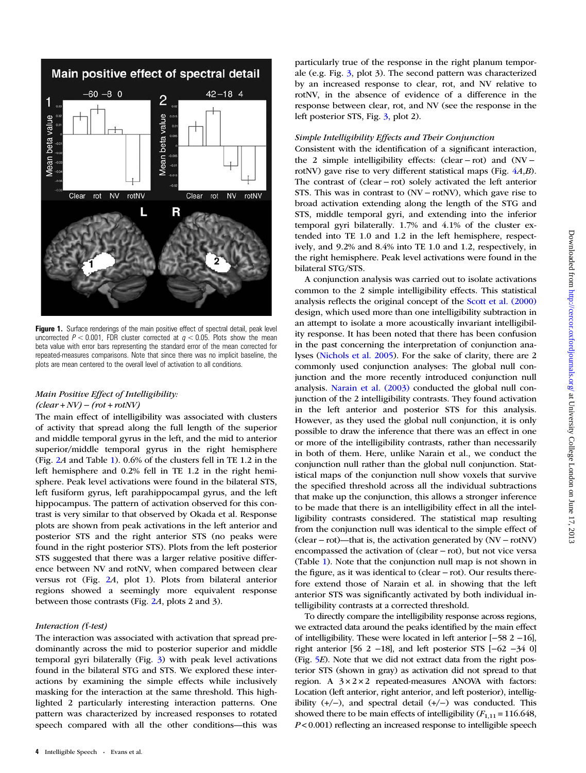<span id="page-3-0"></span>

Figure 1. Surface renderings of the main positive effect of spectral detail, peak level uncorrected  $P < 0.001$ , FDR cluster corrected at  $q < 0.05$ . Plots show the mean beta value with error bars representing the standard error of the mean corrected for repeated-measures comparisons. Note that since there was no implicit baseline, the plots are mean centered to the overall level of activation to all conditions.

#### Main Positive Effect of Intelligibility:  $(clear + NV) - (rot + rotNV)$

The main effect of intelligibility was associated with clusters of activity that spread along the full length of the superior and middle temporal gyrus in the left, and the mid to anterior superior/middle temporal gyrus in the right hemisphere (Fig. [2](#page-4-0)A and Table [1\)](#page-4-0). 0.6% of the clusters fell in TE 1.2 in the left hemisphere and 0.2% fell in TE 1.2 in the right hemisphere. Peak level activations were found in the bilateral STS, left fusiform gyrus, left parahippocampal gyrus, and the left hippocampus. The pattern of activation observed for this contrast is very similar to that observed by Okada et al. Response plots are shown from peak activations in the left anterior and posterior STS and the right anterior STS (no peaks were found in the right posterior STS). Plots from the left posterior STS suggested that there was a larger relative positive difference between NV and rotNV, when compared between clear versus rot (Fig. [2](#page-4-0)A, plot 1). Plots from bilateral anterior regions showed a seemingly more equivalent response between those contrasts (Fig. [2](#page-4-0)A, plots 2 and 3).

#### Interaction (f-test)

The interaction was associated with activation that spread predominantly across the mid to posterior superior and middle temporal gyri bilaterally (Fig. [3](#page-5-0)) with peak level activations found in the bilateral STG and STS. We explored these interactions by examining the simple effects while inclusively masking for the interaction at the same threshold. This highlighted 2 particularly interesting interaction patterns. One pattern was characterized by increased responses to rotated speech compared with all the other conditions—this was particularly true of the response in the right planum temporale (e.g. Fig. [3](#page-5-0), plot 3). The second pattern was characterized by an increased response to clear, rot, and NV relative to rotNV, in the absence of evidence of a difference in the response between clear, rot, and NV (see the response in the left posterior STS, Fig. [3,](#page-5-0) plot 2).

#### Simple Intelligibility Effects and Their Conjunction

Consistent with the identification of a significant interaction, the 2 simple intelligibility effects: (clear − rot) and (NV − rotNV) gave rise to very different statistical maps (Fig. [4](#page-5-0)A,B). The contrast of (clear − rot) solely activated the left anterior STS. This was in contrast to (NV − rotNV), which gave rise to broad activation extending along the length of the STG and STS, middle temporal gyri, and extending into the inferior temporal gyri bilaterally. 1.7% and 4.1% of the cluster extended into TE 1.0 and 1.2 in the left hemisphere, respectively, and 9.2% and 8.4% into TE 1.0 and 1.2, respectively, in the right hemisphere. Peak level activations were found in the bilateral STG/STS.

A conjunction analysis was carried out to isolate activations common to the 2 simple intelligibility effects. This statistical analysis reflects the original concept of the [Scott et al. \(2000\)](#page-11-0) design, which used more than one intelligibility subtraction in an attempt to isolate a more acoustically invariant intelligibility response. It has been noted that there has been confusion in the past concerning the interpretation of conjunction analyses [\(Nichols et al. 2005\)](#page-11-0). For the sake of clarity, there are 2 commonly used conjunction analyses: The global null conjunction and the more recently introduced conjunction null analysis. [Narain et al. \(2003\)](#page-11-0) conducted the global null conjunction of the 2 intelligibility contrasts. They found activation in the left anterior and posterior STS for this analysis. However, as they used the global null conjunction, it is only possible to draw the inference that there was an effect in one or more of the intelligibility contrasts, rather than necessarily in both of them. Here, unlike Narain et al., we conduct the conjunction null rather than the global null conjunction. Statistical maps of the conjunction null show voxels that survive the specified threshold across all the individual subtractions that make up the conjunction, this allows a stronger inference to be made that there is an intelligibility effect in all the intelligibility contrasts considered. The statistical map resulting from the conjunction null was identical to the simple effect of (clear − rot)—that is, the activation generated by (NV − rotNV) encompassed the activation of (clear − rot), but not vice versa (Table [1](#page-4-0)). Note that the conjunction null map is not shown in the figure, as it was identical to (clear − rot). Our results therefore extend those of Narain et al. in showing that the left anterior STS was significantly activated by both individual intelligibility contrasts at a corrected threshold.

To directly compare the intelligibility response across regions, we extracted data around the peaks identified by the main effect of intelligibility. These were located in left anterior [−58 2 −16], right anterior [56 2 −18], and left posterior STS [−62 −34 0] (Fig. [5](#page-6-0)E). Note that we did not extract data from the right posterior STS (shown in gray) as activation did not spread to that region. A  $3 \times 2 \times 2$  repeated-measures ANOVA with factors: Location (left anterior, right anterior, and left posterior), intelligibility (+/−), and spectral detail (+/−) was conducted. This showed there to be main effects of intelligibility  $(F_{1,11} = 116.648)$ ,  $P < 0.001$ ) reflecting an increased response to intelligible speech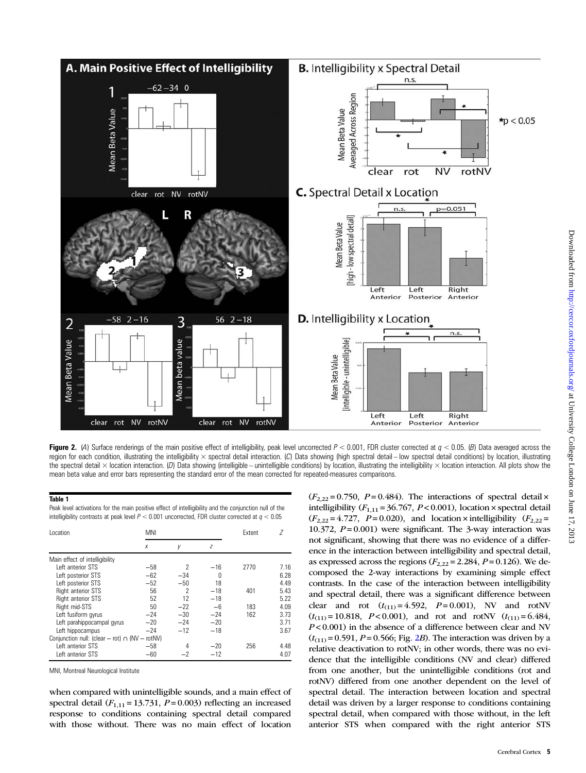<span id="page-4-0"></span>

Figure 2. (4) Surface renderings of the main positive effect of intelligibility, peak level uncorrected  $P < 0.001$ , FDR cluster corrected at  $q < 0.05$ . (B) Data averaged across the region for each condition, illustrating the intelligibility × spectral detail interaction. (C) Data showing (high spectral detail – low spectral detail conditions) by location, illustrating the spectral detail  $\times$  location interaction. (D) Data showing (intelligible – unintelligible conditions) by location, illustrating the intelligibility  $\times$  location interaction. All plots show the mean beta value and error bars representing the standard error of the mean corrected for repeated-measures comparisons.

#### Table 1

Peak level activations for the main positive effect of intelligibility and the conjunction null of the intelligibility contrasts at peak level  $P < 0.001$  uncorrected, FDR cluster corrected at  $q < 0.05$ 

| Location                                            | MNI   |                          |       | Extent | 7    |
|-----------------------------------------------------|-------|--------------------------|-------|--------|------|
|                                                     | X     | у                        | Z     |        |      |
| Main effect of intelligibility                      |       |                          |       |        |      |
| Left anterior STS                                   | $-58$ | 2                        | $-16$ | 2770   | 7.16 |
| Left posterior STS                                  | $-62$ | $-34$                    | 0     |        | 6.28 |
| Left posterior STS                                  | $-52$ | $-50$                    | 18    |        | 4.49 |
| <b>Right anterior STS</b>                           | 56    | $\overline{\phantom{a}}$ | $-18$ | 401    | 5.43 |
| <b>Right anterior STS</b>                           | 52    | 12                       | $-18$ |        | 5.22 |
| Right mid-STS                                       | 50    | $-22$                    | -6    | 183    | 4.09 |
| Left fusiform gyrus                                 | $-24$ | $-30$                    | $-24$ | 162    | 3.73 |
| Left parahippocampal gyrus                          | $-20$ | $-24$                    | $-20$ |        | 3.71 |
| Left hippocampus                                    | $-24$ | $-12$                    | $-18$ |        | 3.67 |
| Conjunction null: (clear - rot) $\cap$ (NV - rotNV) |       |                          |       |        |      |
| Left anterior STS                                   | $-58$ | 4                        | $-20$ | 256    | 4.48 |
| Left anterior STS                                   | $-60$ |                          | $-12$ |        | 4.07 |

MNI, Montreal Neurological Institute

when compared with unintelligible sounds, and a main effect of spectral detail  $(F_{1,11} = 13.731, P = 0.003)$  reflecting an increased response to conditions containing spectral detail compared with those without. There was no main effect of location  $(F_{2,22} = 0.750, P = 0.484)$ . The interactions of spectral detail x intelligibility  $(F_{1,11} = 36.767, P < 0.001)$ , location × spectral detail  $(F_{2,22} = 4.727, P = 0.020)$ , and location × intelligibility  $(F_{2,22} =$ 10.372,  $P = 0.001$ ) were significant. The 3-way interaction was not significant, showing that there was no evidence of a difference in the interaction between intelligibility and spectral detail, as expressed across the regions  $(F_{2,22} = 2.284, P = 0.126)$ . We decomposed the 2-way interactions by examining simple effect contrasts. In the case of the interaction between intelligibility and spectral detail, there was a significant difference between clear and rot  $(t_{(11)} = 4.592, P = 0.001)$ , NV and rotNV  $(t_{(11)} = 10.818, P < 0.001)$ , and rot and rotNV  $(t_{(11)} = 6.484,$  $P < 0.001$ ) in the absence of a difference between clear and NV  $(t_{(11)} = 0.591, P = 0.566; Fig. 2B)$ . The interaction was driven by a relative deactivation to rotNV; in other words, there was no evidence that the intelligible conditions (NV and clear) differed from one another, but the unintelligible conditions (rot and rotNV) differed from one another dependent on the level of spectral detail. The interaction between location and spectral detail was driven by a larger response to conditions containing spectral detail, when compared with those without, in the left anterior STS when compared with the right anterior STS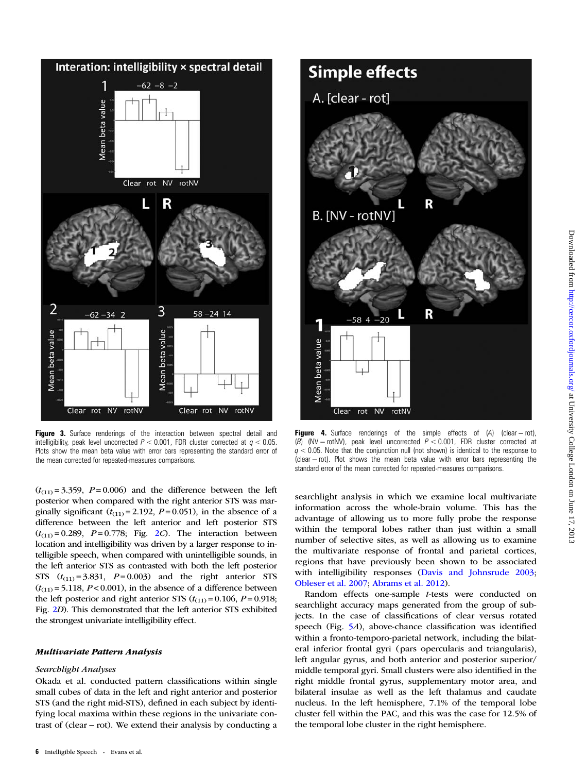<span id="page-5-0"></span>

**Figure 3.** Surface renderings of the interaction between spectral detail and intelligibility, peak level uncorrected  $P < 0.001$ , FDR cluster corrected at  $q < 0.05$ . Plots show the mean beta value with error bars representing the standard error of the mean corrected for repeated-measures comparisons.

 $(t_{(11)} = 3.359, P = 0.006)$  and the difference between the left posterior when compared with the right anterior STS was marginally significant  $(t_{(11)} = 2.192, P = 0.051)$ , in the absence of a difference between the left anterior and left posterior STS  $(t_{(11)} = 0.289, P = 0.778; Fig. 2C)$  $(t_{(11)} = 0.289, P = 0.778; Fig. 2C)$  $(t_{(11)} = 0.289, P = 0.778; Fig. 2C)$ . The interaction between location and intelligibility was driven by a larger response to intelligible speech, when compared with unintelligible sounds, in the left anterior STS as contrasted with both the left posterior STS  $(t_{(11)} = 3.831, P = 0.003)$  and the right anterior STS  $(t<sub>(11)</sub> = 5.118, P < 0.001)$ , in the absence of a difference between the left posterior and right anterior STS  $(t_{(11)} = 0.106, P = 0.918;$ Fig. [2](#page-4-0)D). This demonstrated that the left anterior STS exhibited the strongest univariate intelligibility effect.

# $\mathcal{L}$

#### Searchlight Analyses

Okada et al. conducted pattern classifications within single small cubes of data in the left and right anterior and posterior STS (and the right mid-STS), defined in each subject by identifying local maxima within these regions in the univariate contrast of (clear − rot). We extend their analysis by conducting a



Figure 4. Surface renderings of the simple effects of (A) (clear − rot), (B) (NV − rotNV), peak level uncorrected P < 0.001, FDR cluster corrected at  $q < 0.05$ . Note that the conjunction null (not shown) is identical to the response to (clear − rot). Plot shows the mean beta value with error bars representing the standard error of the mean corrected for repeated-measures comparisons.

searchlight analysis in which we examine local multivariate information across the whole-brain volume. This has the advantage of allowing us to more fully probe the response within the temporal lobes rather than just within a small number of selective sites, as well as allowing us to examine the multivariate response of frontal and parietal cortices, regions that have previously been shown to be associated with intelligibility responses ([Davis and Johnsrude 2003](#page-10-0); [Obleser et al. 2007;](#page-11-0) [Abrams et al. 2012\)](#page-10-0).

Random effects one-sample t-tests were conducted on searchlight accuracy maps generated from the group of subjects. In the case of classifications of clear versus rotated speech (Fig. [5](#page-6-0)A), above-chance classification was identified within a fronto-temporo-parietal network, including the bilateral inferior frontal gyri (pars opercularis and triangularis), left angular gyrus, and both anterior and posterior superior/ middle temporal gyri. Small clusters were also identified in the right middle frontal gyrus, supplementary motor area, and bilateral insulae as well as the left thalamus and caudate nucleus. In the left hemisphere, 7.1% of the temporal lobe cluster fell within the PAC, and this was the case for 12.5% of the temporal lobe cluster in the right hemisphere.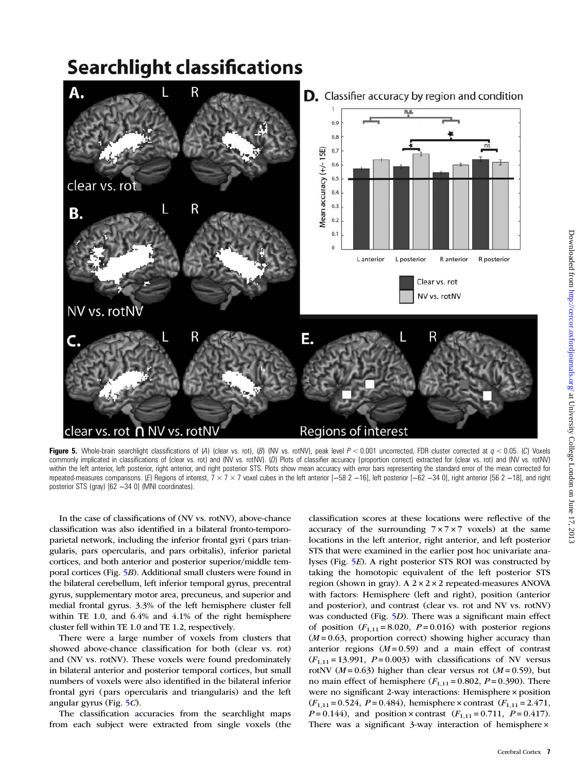# <span id="page-6-0"></span>**Searchlight classifications**



Figure 5. Whole-brain searchlight classifications of (A) (clear vs. rot), (B) (NV vs. rotNV), peak level  $P < 0.001$  uncorrected, FDR cluster corrected at  $q < 0.05$ . (C) Voxels commonly implicated in classifications of (clear vs. rot) and (NV vs. rotNV). (D) Plots of classifier accuracy (proportion correct) extracted for (clear vs. rot) and (NV vs. rotNV) within the left anterior, left posterior, right anterior, and right posterior STS. Plots show mean accuracy with error bars representing the standard error of the mean corrected for repeated-measures comparisons. (E) Regions of interest,  $7 \times 7 \times 7$  voxel cubes in the left anterior [-58 2 -16], left posterior [-62 -34 0], right anterior [56 2 -18], and right posterior STS (gray) [62 −34 0] (MNI coordinates).

In the case of classifications of (NV vs. rotNV), above-chance classification was also identified in a bilateral fronto-temporoparietal network, including the inferior frontal gyri (pars triangularis, pars opercularis, and pars orbitalis), inferior parietal cortices, and both anterior and posterior superior/middle temporal cortices (Fig. 5B). Additional small clusters were found in the bilateral cerebellum, left inferior temporal gyrus, precentral gyrus, supplementary motor area, precuneus, and superior and medial frontal gyrus. 3.3% of the left hemisphere cluster fell within TE 1.0, and 6.4% and 4.1% of the right hemisphere cluster fell within TE 1.0 and TE 1.2, respectively.

There were a large number of voxels from clusters that showed above-chance classification for both (clear vs. rot) and (NV vs. rotNV). These voxels were found predominately in bilateral anterior and posterior temporal cortices, but small numbers of voxels were also identified in the bilateral inferior frontal gyri (pars opercularis and triangularis) and the left angular gyrus (Fig. 5C).

The classification accuracies from the searchlight maps from each subject were extracted from single voxels (the classification scores at these locations were reflective of the accuracy of the surrounding  $7 \times 7 \times 7$  voxels) at the same locations in the left anterior, right anterior, and left posterior STS that were examined in the earlier post hoc univariate analyses (Fig. 5E). A right posterior STS ROI was constructed by taking the homotopic equivalent of the left posterior STS region (shown in gray). A  $2 \times 2 \times 2$  repeated-measures ANOVA with factors: Hemisphere (left and right), position (anterior and posterior), and contrast (clear vs. rot and NV vs. rotNV) was conducted (Fig. 5D). There was a significant main effect of position  $(F_{1,11} = 8.020, P = 0.016)$  with posterior regions  $(M = 0.63$ , proportion correct) showing higher accuracy than anterior regions  $(M=0.59)$  and a main effect of contrast  $(F_{1,11} = 13.991, P = 0.003)$  with classifications of NV versus rotNV ( $M = 0.63$ ) higher than clear versus rot ( $M = 0.59$ ), but no main effect of hemisphere  $(F_{1,11} = 0.802, P = 0.390)$ . There were no significant 2-way interactions: Hemisphere × position  $(F_{1,11} = 0.524, P = 0.484)$ , hemisphere × contrast  $(F_{1,11} = 2.471,$  $P = 0.144$ , and position × contrast  $(F_{1,11} = 0.711, P = 0.417)$ . There was a significant 3-way interaction of hemisphere ×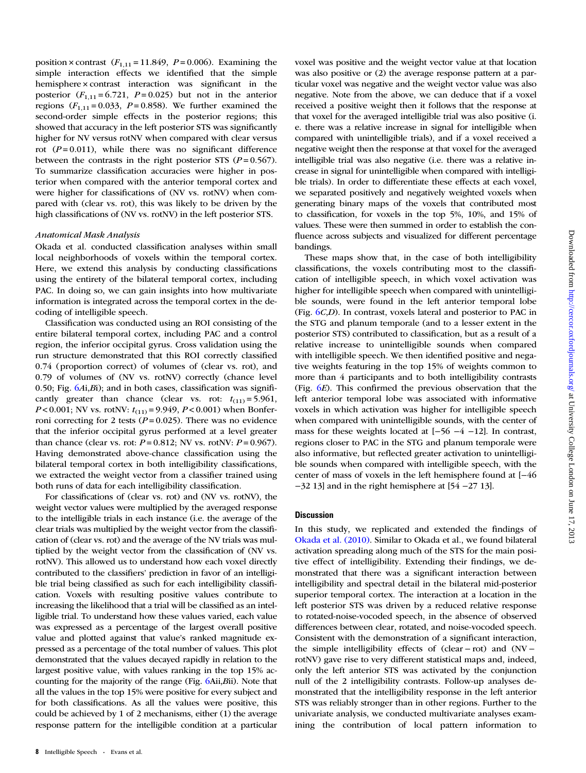position × contrast  $(F_{1,11} = 11.849, P = 0.006)$ . Examining the simple interaction effects we identified that the simple hemisphere × contrast interaction was significant in the posterior  $(F_{1,11} = 6.721, P = 0.025)$  but not in the anterior regions  $(F_{1,11} = 0.033, P = 0.858)$ . We further examined the second-order simple effects in the posterior regions; this showed that accuracy in the left posterior STS was significantly higher for NV versus rotNV when compared with clear versus rot  $(P=0.011)$ , while there was no significant difference between the contrasts in the right posterior STS ( $P = 0.567$ ). To summarize classification accuracies were higher in posterior when compared with the anterior temporal cortex and were higher for classifications of (NV vs. rotNV) when compared with (clear vs. rot), this was likely to be driven by the high classifications of (NV vs. rotNV) in the left posterior STS.

#### Anatomical Mask Analysis

Okada et al. conducted classification analyses within small local neighborhoods of voxels within the temporal cortex. Here, we extend this analysis by conducting classifications using the entirety of the bilateral temporal cortex, including PAC. In doing so, we can gain insights into how multivariate information is integrated across the temporal cortex in the decoding of intelligible speech.

Classification was conducted using an ROI consisting of the entire bilateral temporal cortex, including PAC and a control region, the inferior occipital gyrus. Cross validation using the run structure demonstrated that this ROI correctly classified 0.74 (proportion correct) of volumes of (clear vs. rot), and 0.79 of volumes of (NV vs. rotNV) correctly (chance level 0.50; Fig.  $(AA, Bi)$ ; and in both cases, classification was significantly greater than chance (clear vs. rot:  $t_{(11)} = 5.961$ ,  $P < 0.001$ ; NV vs. rotNV:  $t_{(11)} = 9.949$ ,  $P < 0.001$ ) when Bonferroni correcting for 2 tests ( $P = 0.025$ ). There was no evidence that the inferior occipital gyrus performed at a level greater than chance (clear vs. rot:  $P = 0.812$ ; NV vs. rotNV:  $P = 0.967$ ). Having demonstrated above-chance classification using the bilateral temporal cortex in both intelligibility classifications, we extracted the weight vector from a classifier trained using both runs of data for each intelligibility classification.

For classifications of (clear vs. rot) and (NV vs. rotNV), the weight vector values were multiplied by the averaged response to the intelligible trials in each instance (i.e. the average of the clear trials was multiplied by the weight vector from the classification of (clear vs. rot) and the average of the NV trials was multiplied by the weight vector from the classification of (NV vs. rotNV). This allowed us to understand how each voxel directly contributed to the classifiers' prediction in favor of an intelligible trial being classified as such for each intelligibility classification. Voxels with resulting positive values contribute to increasing the likelihood that a trial will be classified as an intelligible trial. To understand how these values varied, each value was expressed as a percentage of the largest overall positive value and plotted against that value's ranked magnitude expressed as a percentage of the total number of values. This plot demonstrated that the values decayed rapidly in relation to the largest positive value, with values ranking in the top 15% accounting for the majority of the range (Fig. [6A](#page-8-0)ii,Bii). Note that all the values in the top 15% were positive for every subject and for both classifications. As all the values were positive, this could be achieved by 1 of 2 mechanisms, either (1) the average response pattern for the intelligible condition at a particular

received a positive weight then it follows that the response at that voxel for the averaged intelligible trial was also positive (i. e. there was a relative increase in signal for intelligible when compared with unintelligible trials), and if a voxel received a negative weight then the response at that voxel for the averaged intelligible trial was also negative (i.e. there was a relative increase in signal for unintelligible when compared with intelligible trials). In order to differentiate these effects at each voxel, we separated positively and negatively weighted voxels when generating binary maps of the voxels that contributed most to classification, for voxels in the top 5%, 10%, and 15% of values. These were then summed in order to establish the confluence across subjects and visualized for different percentage bandings. These maps show that, in the case of both intelligibility classifications, the voxels contributing most to the classifi-

voxel was positive and the weight vector value at that location was also positive or (2) the average response pattern at a particular voxel was negative and the weight vector value was also negative. Note from the above, we can deduce that if a voxel

cation of intelligible speech, in which voxel activation was higher for intelligible speech when compared with unintelligible sounds, were found in the left anterior temporal lobe (Fig. [6](#page-8-0)C,D). In contrast, voxels lateral and posterior to PAC in the STG and planum temporale (and to a lesser extent in the posterior STS) contributed to classification, but as a result of a relative increase to unintelligible sounds when compared with intelligible speech. We then identified positive and negative weights featuring in the top 15% of weights common to more than 4 participants and to both intelligibility contrasts (Fig.  $6E$  $6E$ ). This confirmed the previous observation that the left anterior temporal lobe was associated with informative voxels in which activation was higher for intelligible speech when compared with unintelligible sounds, with the center of mass for these weights located at [−56 −4 −12]. In contrast, regions closer to PAC in the STG and planum temporale were also informative, but reflected greater activation to unintelligible sounds when compared with intelligible speech, with the center of mass of voxels in the left hemisphere found at [−46 −32 13] and in the right hemisphere at [54 −27 13].

### **Discussion**

In this study, we replicated and extended the findings of [Okada et al. \(2010\).](#page-11-0) Similar to Okada et al., we found bilateral activation spreading along much of the STS for the main positive effect of intelligibility. Extending their findings, we demonstrated that there was a significant interaction between intelligibility and spectral detail in the bilateral mid-posterior superior temporal cortex. The interaction at a location in the left posterior STS was driven by a reduced relative response to rotated-noise-vocoded speech, in the absence of observed differences between clear, rotated, and noise-vocoded speech. Consistent with the demonstration of a significant interaction, the simple intelligibility effects of (clear − rot) and (NV − rotNV) gave rise to very different statistical maps and, indeed, only the left anterior STS was activated by the conjunction null of the 2 intelligibility contrasts. Follow-up analyses demonstrated that the intelligibility response in the left anterior STS was reliably stronger than in other regions. Further to the univariate analysis, we conducted multivariate analyses examining the contribution of local pattern information to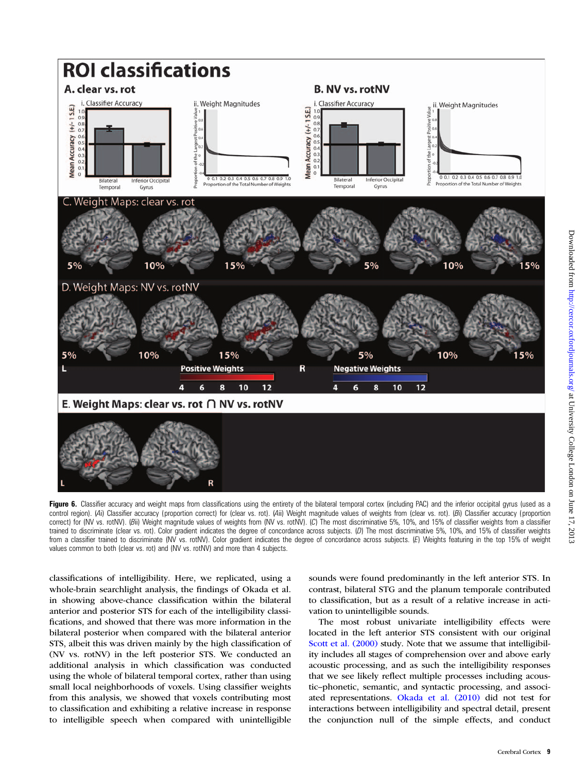<span id="page-8-0"></span>

Figure 6. Classifier accuracy and weight maps from classifications using the entirety of the bilateral temporal cortex (including PAC) and the inferior occipital gyrus (used as a control region). (Ai) Classifier accuracy (proportion correct) for (clear vs. rot). (Aii) Weight magnitude values of weights from (clear vs. rot). (Bi) Classifier accuracy (proportion correct) for (NV vs. rotNV). (Bii) Weight magnitude values of weights from (NV vs. rotNV). (C) The most discriminative 5%, 10%, and 15% of classifier weights from a classifier trained to discriminate (clear vs. rot). Color gradient indicates the degree of concordance across subjects. (D) The most discriminative 5%, 10%, and 15% of classifier weights from a classifier trained to discriminate (NV vs. rotNV). Color gradient indicates the degree of concordance across subjects. (E) Weights featuring in the top 15% of weight values common to both (clear vs. rot) and (NV vs. rotNV) and more than 4 subjects.

classifications of intelligibility. Here, we replicated, using a whole-brain searchlight analysis, the findings of Okada et al. in showing above-chance classification within the bilateral anterior and posterior STS for each of the intelligibility classifications, and showed that there was more information in the bilateral posterior when compared with the bilateral anterior STS, albeit this was driven mainly by the high classification of (NV vs. rotNV) in the left posterior STS. We conducted an additional analysis in which classification was conducted using the whole of bilateral temporal cortex, rather than using small local neighborhoods of voxels. Using classifier weights from this analysis, we showed that voxels contributing most to classification and exhibiting a relative increase in response to intelligible speech when compared with unintelligible

sounds were found predominantly in the left anterior STS. In contrast, bilateral STG and the planum temporale contributed to classification, but as a result of a relative increase in activation to unintelligible sounds.

The most robust univariate intelligibility effects were located in the left anterior STS consistent with our original [Scott et al. \(2000\)](#page-11-0) study. Note that we assume that intelligibility includes all stages of comprehension over and above early acoustic processing, and as such the intelligibility responses that we see likely reflect multiple processes including acoustic–phonetic, semantic, and syntactic processing, and associated representations. [Okada et al. \(2010\)](#page-11-0) did not test for interactions between intelligibility and spectral detail, present the conjunction null of the simple effects, and conduct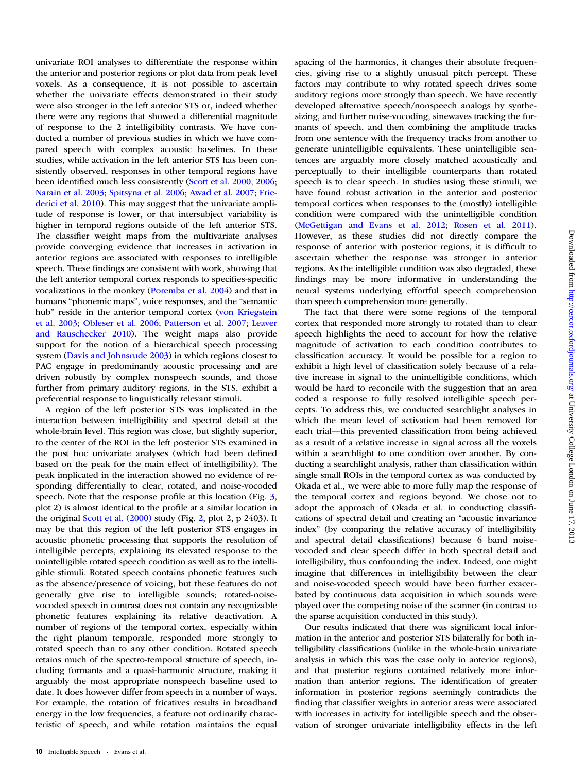univariate ROI analyses to differentiate the response within the anterior and posterior regions or plot data from peak level voxels. As a consequence, it is not possible to ascertain whether the univariate effects demonstrated in their study were also stronger in the left anterior STS or, indeed whether there were any regions that showed a differential magnitude of response to the 2 intelligibility contrasts. We have conducted a number of previous studies in which we have compared speech with complex acoustic baselines. In these studies, while activation in the left anterior STS has been consistently observed, responses in other temporal regions have been identified much less consistently ([Scott et al. 2000](#page-11-0), [2006](#page-11-0); [Narain et al. 2003;](#page-11-0) [Spitsyna et al. 2006](#page-11-0); [Awad et al. 2007;](#page-10-0) [Frie](#page-10-0)[derici et al. 2010\)](#page-10-0). This may suggest that the univariate amplitude of response is lower, or that intersubject variability is higher in temporal regions outside of the left anterior STS. The classifier weight maps from the multivariate analyses provide converging evidence that increases in activation in anterior regions are associated with responses to intelligible speech. These findings are consistent with work, showing that the left anterior temporal cortex responds to specifies-specific vocalizations in the monkey ([Poremba et al. 2004\)](#page-11-0) and that in humans "phonemic maps", voice responses, and the "semantic hub" reside in the anterior temporal cortex [\(von Kriegstein](#page-11-0) [et al. 2003](#page-11-0); [Obleser et al. 2006;](#page-11-0) [Patterson et al. 2007](#page-11-0); [Leaver](#page-10-0) [and Rauschecker 2010\)](#page-10-0). The weight maps also provide support for the notion of a hierarchical speech processing system ([Davis and Johnsrude 2003\)](#page-10-0) in which regions closest to PAC engage in predominantly acoustic processing and are driven robustly by complex nonspeech sounds, and those further from primary auditory regions, in the STS, exhibit a preferential response to linguistically relevant stimuli.

A region of the left posterior STS was implicated in the interaction between intelligibility and spectral detail at the whole-brain level. This region was close, but slightly superior, to the center of the ROI in the left posterior STS examined in the post hoc univariate analyses (which had been defined based on the peak for the main effect of intelligibility). The peak implicated in the interaction showed no evidence of responding differentially to clear, rotated, and noise-vocoded speech. Note that the response profile at this location (Fig. [3](#page-5-0), plot 2) is almost identical to the profile at a similar location in the original [Scott et al. \(2000\)](#page-11-0) study (Fig. [2,](#page-4-0) plot 2, p 2403). It may be that this region of the left posterior STS engages in acoustic phonetic processing that supports the resolution of intelligible percepts, explaining its elevated response to the unintelligible rotated speech condition as well as to the intelligible stimuli. Rotated speech contains phonetic features such as the absence/presence of voicing, but these features do not generally give rise to intelligible sounds; rotated-noisevocoded speech in contrast does not contain any recognizable phonetic features explaining its relative deactivation. A number of regions of the temporal cortex, especially within the right planum temporale, responded more strongly to rotated speech than to any other condition. Rotated speech retains much of the spectro-temporal structure of speech, including formants and a quasi-harmonic structure, making it arguably the most appropriate nonspeech baseline used to date. It does however differ from speech in a number of ways. For example, the rotation of fricatives results in broadband energy in the low frequencies, a feature not ordinarily characteristic of speech, and while rotation maintains the equal spacing of the harmonics, it changes their absolute frequencies, giving rise to a slightly unusual pitch percept. These factors may contribute to why rotated speech drives some auditory regions more strongly than speech. We have recently developed alternative speech/nonspeech analogs by synthesizing, and further noise-vocoding, sinewaves tracking the formants of speech, and then combining the amplitude tracks from one sentence with the frequency tracks from another to generate unintelligible equivalents. These unintelligible sentences are arguably more closely matched acoustically and perceptually to their intelligible counterparts than rotated speech is to clear speech. In studies using these stimuli, we have found robust activation in the anterior and posterior temporal cortices when responses to the (mostly) intelligible condition were compared with the unintelligible condition [\(McGettigan and Evans et al. 2012;](#page-10-0) [Rosen et al. 2011](#page-11-0)). However, as these studies did not directly compare the response of anterior with posterior regions, it is difficult to ascertain whether the response was stronger in anterior regions. As the intelligible condition was also degraded, these findings may be more informative in understanding the neural systems underlying effortful speech comprehension than speech comprehension more generally.

The fact that there were some regions of the temporal cortex that responded more strongly to rotated than to clear speech highlights the need to account for how the relative magnitude of activation to each condition contributes to classification accuracy. It would be possible for a region to exhibit a high level of classification solely because of a relative increase in signal to the unintelligible conditions, which would be hard to reconcile with the suggestion that an area coded a response to fully resolved intelligible speech percepts. To address this, we conducted searchlight analyses in which the mean level of activation had been removed for each trial—this prevented classification from being achieved as a result of a relative increase in signal across all the voxels within a searchlight to one condition over another. By conducting a searchlight analysis, rather than classification within single small ROIs in the temporal cortex as was conducted by Okada et al., we were able to more fully map the response of the temporal cortex and regions beyond. We chose not to adopt the approach of Okada et al. in conducting classifications of spectral detail and creating an "acoustic invariance index" (by comparing the relative accuracy of intelligibility and spectral detail classifications) because 6 band noisevocoded and clear speech differ in both spectral detail and intelligibility, thus confounding the index. Indeed, one might imagine that differences in intelligibility between the clear and noise-vocoded speech would have been further exacerbated by continuous data acquisition in which sounds were played over the competing noise of the scanner (in contrast to the sparse acquisition conducted in this study).

Our results indicated that there was significant local information in the anterior and posterior STS bilaterally for both intelligibility classifications (unlike in the whole-brain univariate analysis in which this was the case only in anterior regions), and that posterior regions contained relatively more information than anterior regions. The identification of greater information in posterior regions seemingly contradicts the finding that classifier weights in anterior areas were associated with increases in activity for intelligible speech and the observation of stronger univariate intelligibility effects in the left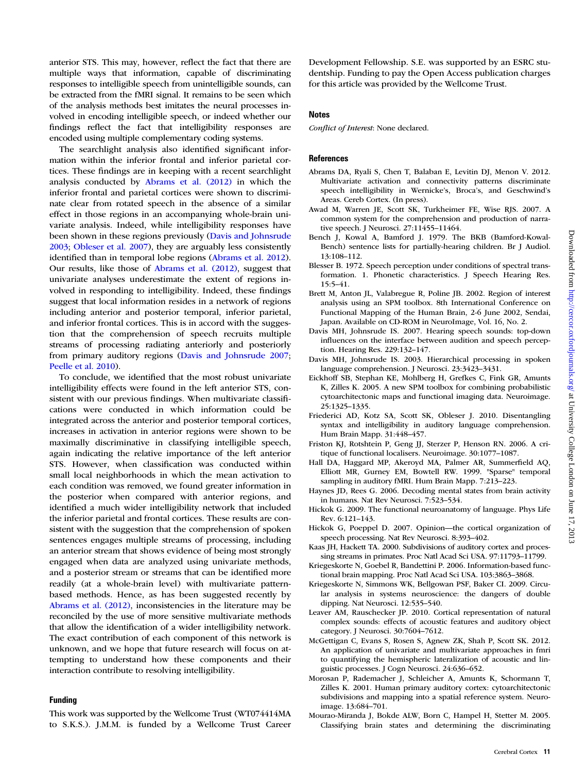$.2013$ 

<span id="page-10-0"></span>anterior STS. This may, however, reflect the fact that there are multiple ways that information, capable of discriminating responses to intelligible speech from unintelligible sounds, can be extracted from the fMRI signal. It remains to be seen which of the analysis methods best imitates the neural processes involved in encoding intelligible speech, or indeed whether our findings reflect the fact that intelligibility responses are encoded using multiple complementary coding systems.

The searchlight analysis also identified significant information within the inferior frontal and inferior parietal cortices. These findings are in keeping with a recent searchlight analysis conducted by Abrams et al. (2012) in which the inferior frontal and parietal cortices were shown to discriminate clear from rotated speech in the absence of a similar effect in those regions in an accompanying whole-brain univariate analysis. Indeed, while intelligibility responses have been shown in these regions previously (Davis and Johnsrude 2003; [Obleser et al. 2007](#page-11-0)), they are arguably less consistently identified than in temporal lobe regions (Abrams et al. 2012). Our results, like those of Abrams et al. (2012), suggest that univariate analyses underestimate the extent of regions involved in responding to intelligibility. Indeed, these findings suggest that local information resides in a network of regions including anterior and posterior temporal, inferior parietal, and inferior frontal cortices. This is in accord with the suggestion that the comprehension of speech recruits multiple streams of processing radiating anteriorly and posteriorly from primary auditory regions (Davis and Johnsrude 2007; [Peelle et al. 2010\)](#page-11-0).

To conclude, we identified that the most robust univariate intelligibility effects were found in the left anterior STS, consistent with our previous findings. When multivariate classifications were conducted in which information could be integrated across the anterior and posterior temporal cortices, increases in activation in anterior regions were shown to be maximally discriminative in classifying intelligible speech, again indicating the relative importance of the left anterior STS. However, when classification was conducted within small local neighborhoods in which the mean activation to each condition was removed, we found greater information in the posterior when compared with anterior regions, and identified a much wider intelligibility network that included the inferior parietal and frontal cortices. These results are consistent with the suggestion that the comprehension of spoken sentences engages multiple streams of processing, including an anterior stream that shows evidence of being most strongly engaged when data are analyzed using univariate methods, and a posterior stream or streams that can be identified more readily (at a whole-brain level) with multivariate patternbased methods. Hence, as has been suggested recently by Abrams et al. (2012), inconsistencies in the literature may be reconciled by the use of more sensitive multivariate methods that allow the identification of a wider intelligibility network. The exact contribution of each component of this network is unknown, and we hope that future research will focus on attempting to understand how these components and their interaction contribute to resolving intelligibility.

#### Funding

This work was supported by the Wellcome Trust (WT074414MA to S.K.S.). J.M.M. is funded by a Wellcome Trust Career Development Fellowship. S.E. was supported by an ESRC studentship. Funding to pay the Open Access publication charges for this article was provided by the Wellcome Trust.

#### **Notes**

Conflict of Interest: None declared.

#### **References**

- Abrams DA, Ryali S, Chen T, Balaban E, Levitin DJ, Menon V. 2012. Multivariate activation and connectivity patterns discriminate speech intelligibility in Wernicke's, Broca's, and Geschwind's Areas. Cereb Cortex. (In press).
- Awad M, Warren JE, Scott SK, Turkheimer FE, Wise RJS. 2007. A common system for the comprehension and production of narrative speech. J Neurosci. 27:11455–11464.
- Bench J, Kowal A, Bamford J. 1979. The BKB (Bamford-Kowal-Bench) sentence lists for partially-hearing children. Br J Audiol. 13:108–112.
- Blesser B. 1972. Speech perception under conditions of spectral transformation. 1. Phonetic characteristics. J Speech Hearing Res. 15:5–41.
- Brett M, Anton JL, Valabregue R, Poline JB. 2002. Region of interest analysis using an SPM toolbox. 8th International Conference on Functional Mapping of the Human Brain, 2-6 June 2002, Sendai, Japan. Available on CD-ROM in NeuroImage, Vol. 16, No. 2.
- Davis MH, Johnsrude IS. 2007. Hearing speech sounds: top-down influences on the interface between audition and speech perception. Hearing Res. 229:132–147.
- Davis MH, Johnsrude IS. 2003. Hierarchical processing in spoken language comprehension. J Neurosci. 23:3423–3431.
- Eickhoff SB, Stephan KE, Mohlberg H, Grefkes C, Fink GR, Amunts K, Zilles K. 2005. A new SPM toolbox for combining probabilistic cytoarchitectonic maps and functional imaging data. Neuroimage. 25:1325–1335.
- Friederici AD, Kotz SA, Scott SK, Obleser J. 2010. Disentangling syntax and intelligibility in auditory language comprehension. Hum Brain Mapp. 31:448–457.
- Friston KJ, Rotshtein P, Geng JJ, Sterzer P, Henson RN. 2006. A critique of functional localisers. Neuroimage. 30:1077–1087.
- Hall DA, Haggard MP, Akeroyd MA, Palmer AR, Summerfield AQ, Elliott MR, Gurney EM, Bowtell RW. 1999. "Sparse" temporal sampling in auditory fMRI. Hum Brain Mapp. 7:213–223.
- Haynes JD, Rees G. 2006. Decoding mental states from brain activity in humans. Nat Rev Neurosci. 7:523–534.
- Hickok G. 2009. The functional neuroanatomy of language. Phys Life Rev. 6:121–143.
- Hickok G, Poeppel D. 2007. Opinion—the cortical organization of speech processing. Nat Rev Neurosci. 8:393–402.
- Kaas JH, Hackett TA. 2000. Subdivisions of auditory cortex and processing streams in primates. Proc Natl Acad Sci USA. 97:11793–11799.
- Kriegeskorte N, Goebel R, Bandettini P. 2006. Information-based functional brain mapping. Proc Natl Acad Sci USA. 103:3863–3868.
- Kriegeskorte N, Simmons WK, Bellgowan PSF, Baker CI. 2009. Circular analysis in systems neuroscience: the dangers of double dipping. Nat Neurosci. 12:535–540.
- Leaver AM, Rauschecker JP. 2010. Cortical representation of natural complex sounds: effects of acoustic features and auditory object category. J Neurosci. 30:7604–7612.
- McGettigan C, Evans S, Rosen S, Agnew ZK, Shah P, Scott SK. 2012. An application of univariate and multivariate approaches in fmri to quantifying the hemispheric lateralization of acoustic and linguistic processes. J Cogn Neurosci. 24:636–652.
- Morosan P, Rademacher J, Schleicher A, Amunts K, Schormann T, Zilles K. 2001. Human primary auditory cortex: cytoarchitectonic subdivisions and mapping into a spatial reference system. Neuroimage. 13:684–701.
- Mourao-Miranda J, Bokde ALW, Born C, Hampel H, Stetter M. 2005. Classifying brain states and determining the discriminating